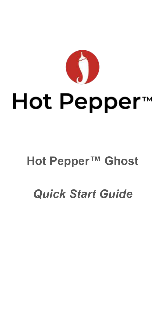

# Hot Pepper™

# **Hot Pepper™ Ghost**

# *Quick Start Guide*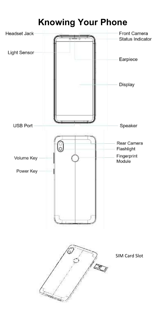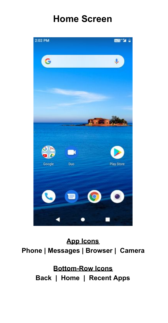## **Home Screen**



#### **App Icons Phone | Messages | Browser | Camera**

**Bottom-Row Icons Back | Home | Recent Apps**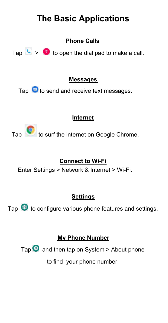## **The Basic Applications**

**Phone Calls** 

Tap  $\left\langle \cdot \right\rangle$  >  $\left\langle \cdot \right\rangle$  to open the dial pad to make a call.

#### **Messages**

Tap  $\bigcirc$  to send and receive text messages.

#### **Internet**

Tap to surf the internet on Google Chrome.

#### **Connect to Wi-Fi**

Enter Settings > Network & Internet > Wi-Fi.

#### **Settings**

Tap  $\bullet$  to configure various phone features and settings.

#### **My Phone Number**

Tap  $\bullet$  and then tap on System > About phone

to find your phone number.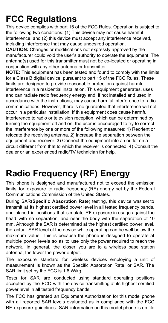## **FCC Regulations**

This device complies with part 15 of the FCC Rules. Operation is subject to the following two conditions: (1) This device may not cause harmful interference, and (2) this device must accept any interference received, including interference that may cause undesired operation.

**CAUTION:** Changes or modifications not expressly approved by the manufacturer could void the user's authority to operate the equipment. The antenna(s) used for this transmitter must not be co-located or operating in conjunction with any other antenna or transmitter.

**NOTE:** This equipment has been tested and found to comply with the limits for a Class B digital device, pursuant to part 15 of the FCC Rules. These limits are designed to provide reasonable protection against harmful interference in a residential installation. This equipment generates, uses and can radiate radio frequency energy and, if not installed and used in accordance with the instructions, may cause harmful interference to radio communications. However, there is no guarantee that interference will not occur in a particular installation. If this equipment does cause harmful interference to radio or television reception, which can be determined by turning the equipment off and on, the user is encouraged to try to correct the interference by one or more of the following measures: 1) Reorient or relocate the receiving antenna. 2) Increase the separation between the equipment and receiver. 3) Connect the equipment into an outlet on a circuit different from that to which the receiver is connected. 4) Consult the dealer or an experienced radio/TV technician for help.

### **Radio Frequency (RF) Energy**

This phone is designed and manufactured not to exceed the emission limits for exposure to radio frequency (RF) energy set by the Federal Communications Commission of the United States.

During SAR(**Specific Absorption Rate** ) testing, this device was set to transmit at its highest certified power level in all tested frequency bands, and placed in positions that simulate RF exposure in usage against the head with no separation, and near the body with the separation of 10 mm. Although the SAR is determined at the highest certified power level, the actual SAR level of the device while operating can be well below the maximum value. This is because the phone is designed to operate at multiple power levels so as to use only the power required to reach the network. In general, the closer you are to a wireless base station antenna, the lower the power output.

The exposure standard for wireless devices employing a unit of measurement is known as the Specific Absorption Rate, or SAR. The SAR limit set by the FCC is 1.6 W/kg.

Tests for SAR are conducted using standard operating positions accepted by the FCC with the device transmitting at its highest certified power level in all tested frequency bands.

The FCC has granted an Equipment Authorization for this model phone with all reported SAR levels evaluated as in compliance with the FCC RF exposure guidelines. SAR information on this model phone is on file